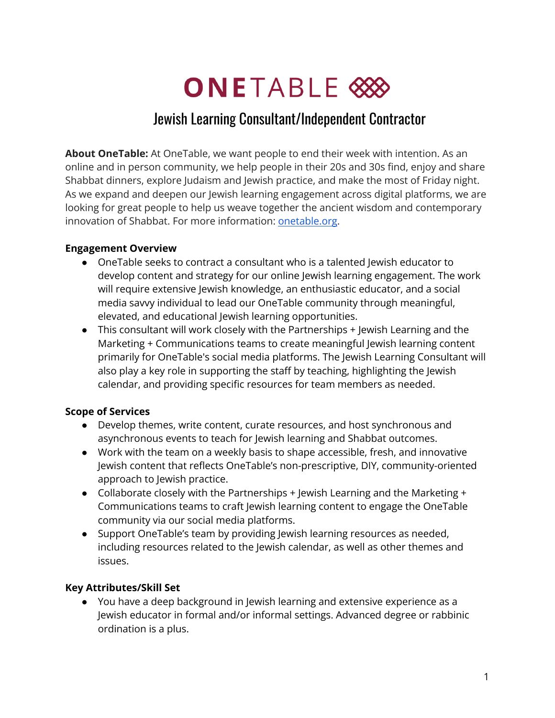# **ONETABLE 888**

## Jewish Learning Consultant/Independent Contractor

**About OneTable:** At OneTable, we want people to end their week with intention. As an online and in person community, we help people in their 20s and 30s find, enjoy and share Shabbat dinners, explore Judaism and Jewish practice, and make the most of Friday night. As we expand and deepen our Jewish learning engagement across digital platforms, we are looking for great people to help us weave together the ancient wisdom and contemporary innovation of Shabbat. For more information: [onetable.org](https://onetable.org/).

### **Engagement Overview**

- OneTable seeks to contract a consultant who is a talented Jewish educator to develop content and strategy for our online Jewish learning engagement. The work will require extensive Jewish knowledge, an enthusiastic educator, and a social media savvy individual to lead our OneTable community through meaningful, elevated, and educational Jewish learning opportunities.
- This consultant will work closely with the Partnerships + Jewish Learning and the Marketing + Communications teams to create meaningful Jewish learning content primarily for OneTable's social media platforms. The Jewish Learning Consultant will also play a key role in supporting the staff by teaching, highlighting the Jewish calendar, and providing specific resources for team members as needed.

### **Scope of Services**

- Develop themes, write content, curate resources, and host synchronous and asynchronous events to teach for Jewish learning and Shabbat outcomes.
- Work with the team on a weekly basis to shape accessible, fresh, and innovative Jewish content that reflects OneTable's non-prescriptive, DIY, community-oriented approach to Jewish practice.
- Collaborate closely with the Partnerships + Jewish Learning and the Marketing + Communications teams to craft Jewish learning content to engage the OneTable community via our social media platforms.
- Support OneTable's team by providing Jewish learning resources as needed, including resources related to the Jewish calendar, as well as other themes and issues.

### **Key Attributes/Skill Set**

● You have a deep background in Jewish learning and extensive experience as a Jewish educator in formal and/or informal settings. Advanced degree or rabbinic ordination is a plus.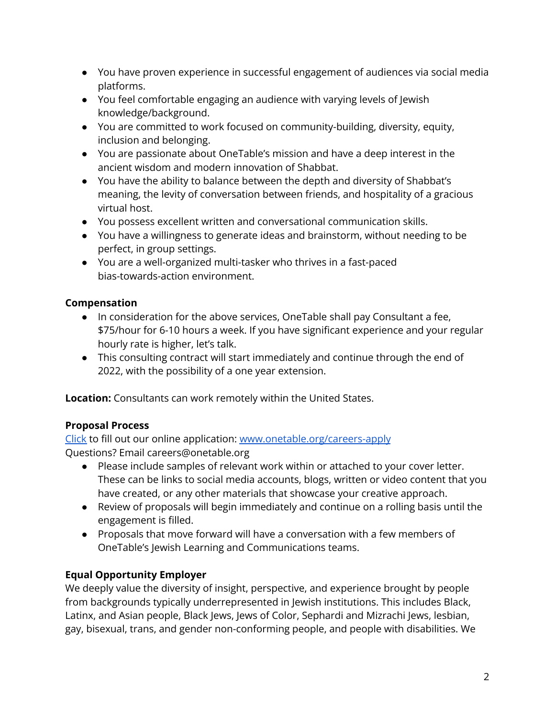- You have proven experience in successful engagement of audiences via social media platforms.
- You feel comfortable engaging an audience with varying levels of Jewish knowledge/background.
- You are committed to work focused on community-building, diversity, equity, inclusion and belonging.
- You are passionate about OneTable's mission and have a deep interest in the ancient wisdom and modern innovation of Shabbat.
- You have the ability to balance between the depth and diversity of Shabbat's meaning, the levity of conversation between friends, and hospitality of a gracious virtual host.
- You possess excellent written and conversational communication skills.
- You have a willingness to generate ideas and brainstorm, without needing to be perfect, in group settings.
- You are a well-organized multi-tasker who thrives in a fast-paced bias-towards-action environment.

### **Compensation**

- In consideration for the above services, OneTable shall pay Consultant a fee, \$75/hour for 6-10 hours a week. If you have significant experience and your regular hourly rate is higher, let's talk.
- This consulting contract will start immediately and continue through the end of 2022, with the possibility of a one year extension.

**Location:** Consultants can work remotely within the United States.

### **Proposal Process**

[Click](http://www.onetable.org/careers-apply) to fill out our online application: [www.onetable.org/careers-apply](http://www.onetable.org/careers-apply) Questions? Email careers@onetable.org

- Please include samples of relevant work within or attached to your cover letter. These can be links to social media accounts, blogs, written or video content that you have created, or any other materials that showcase your creative approach.
- Review of proposals will begin immediately and continue on a rolling basis until the engagement is filled.
- Proposals that move forward will have a conversation with a few members of OneTable's Jewish Learning and Communications teams.

### **Equal Opportunity Employer**

We deeply value the diversity of insight, perspective, and experience brought by people from backgrounds typically underrepresented in Jewish institutions. This includes Black, Latinx, and Asian people, Black Jews, Jews of Color, Sephardi and Mizrachi Jews, lesbian, gay, bisexual, trans, and gender non-conforming people, and people with disabilities. We